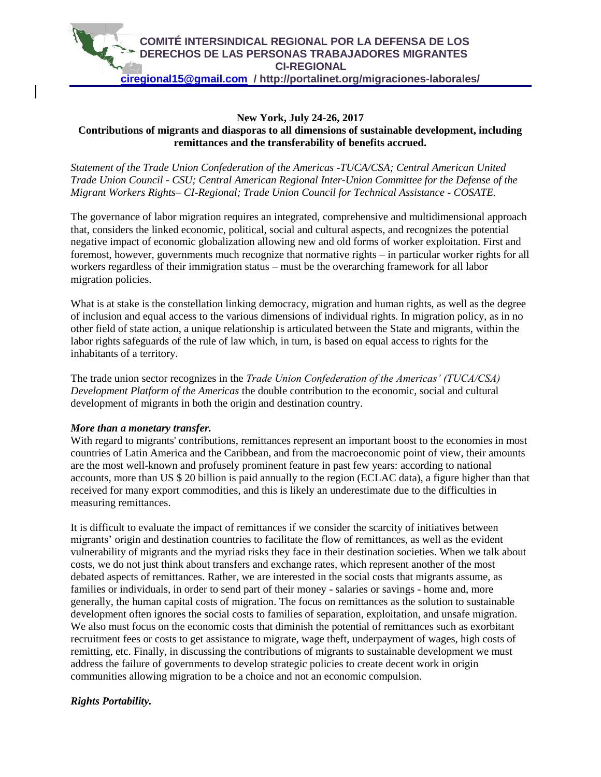

## **New York, July 24-26, 2017 Contributions of migrants and diasporas to all dimensions of sustainable development, including remittances and the transferability of benefits accrued.**

*Statement of the Trade Union Confederation of the Americas -TUCA/CSA; Central American United Trade Union Council - CSU; Central American Regional Inter-Union Committee for the Defense of the Migrant Workers Rights– CI-Regional; Trade Union Council for Technical Assistance - COSATE.*

The governance of labor migration requires an integrated, comprehensive and multidimensional approach that, considers the linked economic, political, social and cultural aspects, and recognizes the potential negative impact of economic globalization allowing new and old forms of worker exploitation. First and foremost, however, governments much recognize that normative rights – in particular worker rights for all workers regardless of their immigration status – must be the overarching framework for all labor migration policies.

What is at stake is the constellation linking democracy, migration and human rights, as well as the degree of inclusion and equal access to the various dimensions of individual rights. In migration policy, as in no other field of state action, a unique relationship is articulated between the State and migrants, within the labor rights safeguards of the rule of law which, in turn, is based on equal access to rights for the inhabitants of a territory.

The trade union sector recognizes in the *Trade Union Confederation of the Americas' (TUCA/CSA) Development Platform of the Americas* the double contribution to the economic, social and cultural development of migrants in both the origin and destination country.

## *More than a monetary transfer.*

With regard to migrants' contributions, remittances represent an important boost to the economies in most countries of Latin America and the Caribbean, and from the macroeconomic point of view, their amounts are the most well-known and profusely prominent feature in past few years: according to national accounts, more than US \$ 20 billion is paid annually to the region (ECLAC data), a figure higher than that received for many export commodities, and this is likely an underestimate due to the difficulties in measuring remittances.

It is difficult to evaluate the impact of remittances if we consider the scarcity of initiatives between migrants' origin and destination countries to facilitate the flow of remittances, as well as the evident vulnerability of migrants and the myriad risks they face in their destination societies. When we talk about costs, we do not just think about transfers and exchange rates, which represent another of the most debated aspects of remittances. Rather, we are interested in the social costs that migrants assume, as families or individuals, in order to send part of their money - salaries or savings - home and, more generally, the human capital costs of migration. The focus on remittances as the solution to sustainable development often ignores the social costs to families of separation, exploitation, and unsafe migration. We also must focus on the economic costs that diminish the potential of remittances such as exorbitant recruitment fees or costs to get assistance to migrate, wage theft, underpayment of wages, high costs of remitting, etc. Finally, in discussing the contributions of migrants to sustainable development we must address the failure of governments to develop strategic policies to create decent work in origin communities allowing migration to be a choice and not an economic compulsion.

## *Rights Portability.*